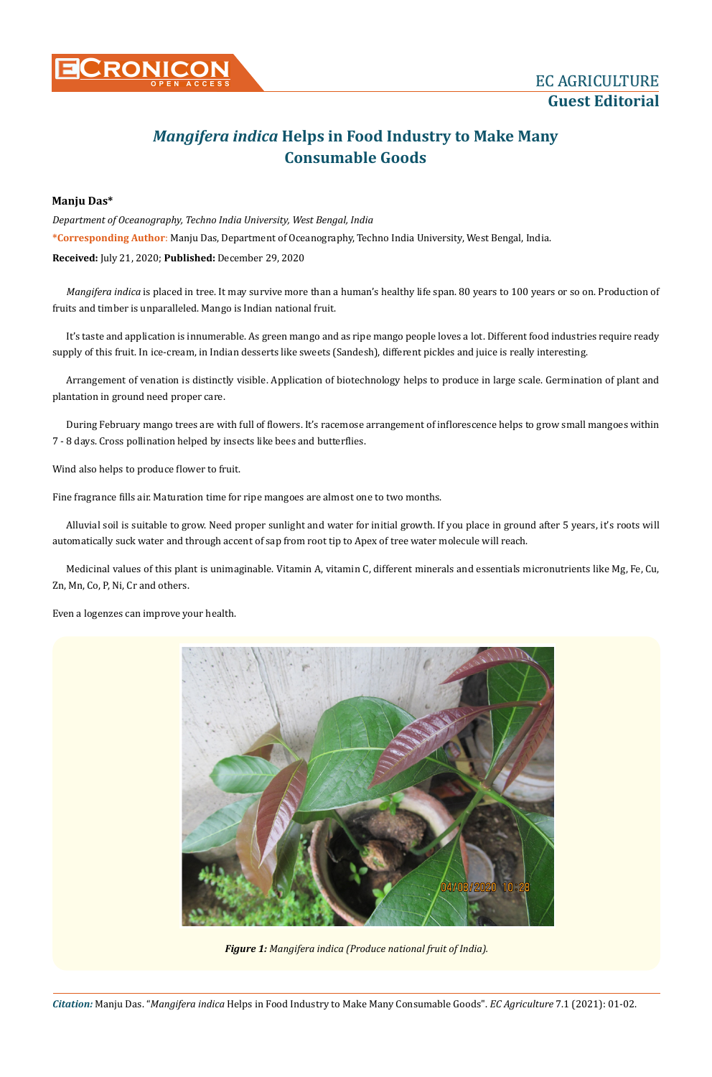

## **Guest Editorial**

## *Mangifera indica* **Helps in Food Industry to Make Many Consumable Goods**

## **Manju Das\***

**\*Corresponding Author**: Manju Das, Department of Oceanography, Techno India University, West Bengal, India. *Department of Oceanography, Techno India University, West Bengal, India* **Received:** July 21, 2020; **Published:** December 29, 2020

*Mangifera indica* is placed in tree. It may survive more than a human's healthy life span. 80 years to 100 years or so on. Production of fruits and timber is unparalleled. Mango is Indian national fruit.

It's taste and application is innumerable. As green mango and as ripe mango people loves a lot. Different food industries require ready supply of this fruit. In ice-cream, in Indian desserts like sweets (Sandesh), different pickles and juice is really interesting.

Arrangement of venation is distinctly visible. Application of biotechnology helps to produce in large scale. Germination of plant and plantation in ground need proper care.

During February mango trees are with full of flowers. It's racemose arrangement of inflorescence helps to grow small mangoes within 7 - 8 days. Cross pollination helped by insects like bees and butterflies.

Wind also helps to produce flower to fruit.

Fine fragrance fills air. Maturation time for ripe mangoes are almost one to two months.

Alluvial soil is suitable to grow. Need proper sunlight and water for initial growth. If you place in ground after 5 years, it's roots will automatically suck water and through accent of sap from root tip to Apex of tree water molecule will reach.

Medicinal values of this plant is unimaginable. Vitamin A, vitamin C, different minerals and essentials micronutrients like Mg, Fe, Cu, Zn, Mn, Co, P, Ni, Cr and others.

Even a logenzes can improve your health.



*Figure 1: Mangifera indica (Produce national fruit of India).*

*Citation:* Manju Das. "*Mangifera indica* Helps in Food Industry to Make Many Consumable Goods". *EC Agriculture* 7.1 (2021): 01-02.